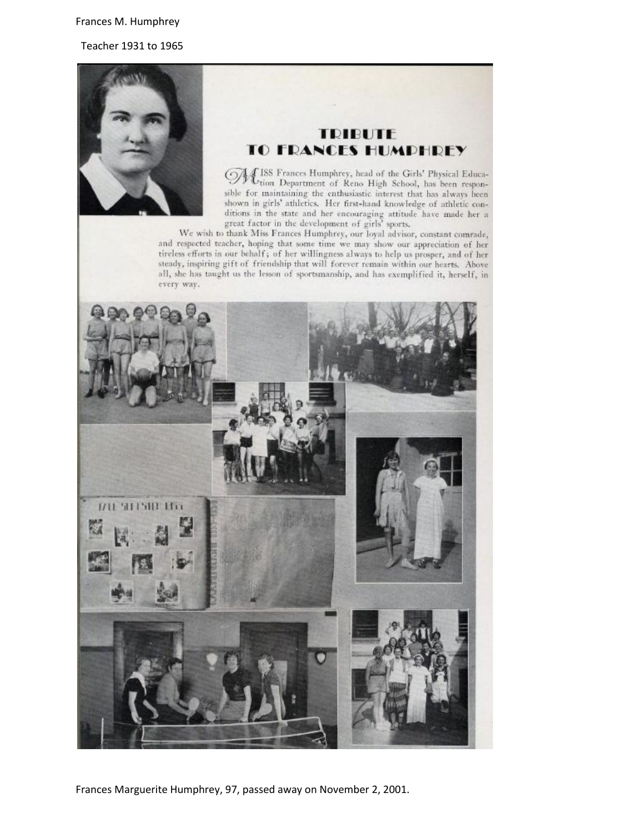## Frances M. Humphrey

Teacher 1931 to 1965



## **TRIBUTE TO FRANCES HUMPHREY**

JUSS Frances Humphrey, head of the Girls' Physical Educa-<br>Ution Department of Reno High School, has been responsible for maintaining the enthusiastic interest that has always been shown in girls' athletics. Her first-hand knowledge of athletic conditions in the state and her encouraging attitude have made her a great factor in the development of girls' sports.

We wish to thank Miss Frances Humphrey, our loyal advisor, constant comrade, and respected teacher, hoping that some time we may show our appreciation of her tireless efforts in our behalf; of her willingness always to help us prosper, and of her steady, inspiring gift of friendship that will forever remain within our hearts. Above all, she has taught us the lesson of sportsmanship, and has exemplified it, herself, in every way.



Frances Marguerite Humphrey, 97, passed away on November 2, 2001.